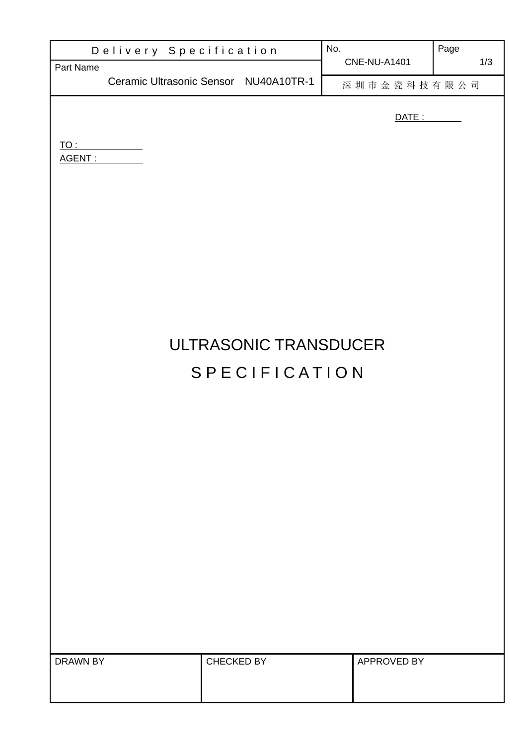|               | Delivery Specification | No.                                   |  | Page                |     |  |  |  |
|---------------|------------------------|---------------------------------------|--|---------------------|-----|--|--|--|
| Part Name     |                        | Ceramic Ultrasonic Sensor NU40A10TR-1 |  | <b>CNE-NU-A1401</b> | 1/3 |  |  |  |
|               |                        |                                       |  | 深圳市金瓷科技有限公司         |     |  |  |  |
|               |                        | <u>DATE: _______</u>                  |  |                     |     |  |  |  |
| <u>TO : _</u> |                        |                                       |  |                     |     |  |  |  |
| AGENT:        |                        |                                       |  |                     |     |  |  |  |
|               |                        |                                       |  |                     |     |  |  |  |
|               |                        |                                       |  |                     |     |  |  |  |
|               |                        |                                       |  |                     |     |  |  |  |
|               |                        |                                       |  |                     |     |  |  |  |
|               |                        |                                       |  |                     |     |  |  |  |
|               |                        |                                       |  |                     |     |  |  |  |
|               |                        |                                       |  |                     |     |  |  |  |
|               |                        |                                       |  |                     |     |  |  |  |
|               | ULTRASONIC TRANSDUCER  |                                       |  |                     |     |  |  |  |
| SPECIFICATION |                        |                                       |  |                     |     |  |  |  |
|               |                        |                                       |  |                     |     |  |  |  |
|               |                        |                                       |  |                     |     |  |  |  |
|               |                        |                                       |  |                     |     |  |  |  |
|               |                        |                                       |  |                     |     |  |  |  |
|               |                        |                                       |  |                     |     |  |  |  |
|               |                        |                                       |  |                     |     |  |  |  |
|               |                        |                                       |  |                     |     |  |  |  |
|               |                        |                                       |  |                     |     |  |  |  |
|               |                        |                                       |  |                     |     |  |  |  |
|               |                        |                                       |  |                     |     |  |  |  |
|               |                        |                                       |  |                     |     |  |  |  |
|               |                        |                                       |  |                     |     |  |  |  |
| DRAWN BY      |                        | CHECKED BY                            |  | APPROVED BY         |     |  |  |  |
|               |                        |                                       |  |                     |     |  |  |  |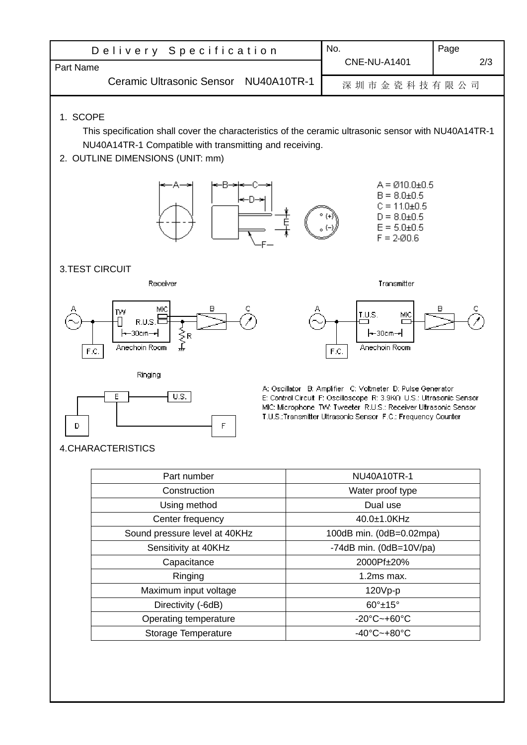